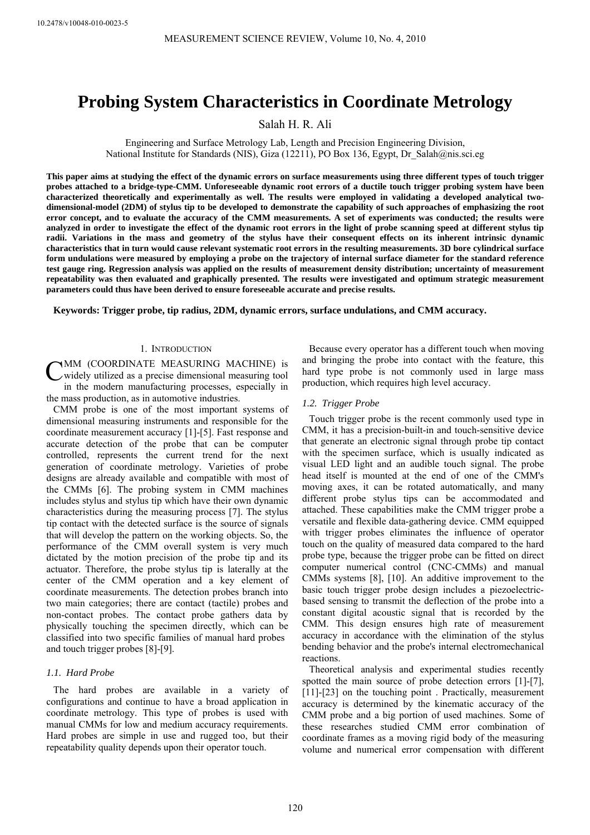# **Probing System Characteristics in Coordinate Metrology**

Salah H. R. Ali

Engineering and Surface Metrology Lab, Length and Precision Engineering Division, National Institute for Standards (NIS), Giza (12211), PO Box 136, Egypt, Dr\_Salah@nis.sci.eg

**This paper aims at studying the effect of the dynamic errors on surface measurements using three different types of touch trigger probes attached to a bridge-type-CMM. Unforeseeable dynamic root errors of a ductile touch trigger probing system have been characterized theoretically and experimentally as well. The results were employed in validating a developed analytical twodimensional-model (2DM) of stylus tip to be developed to demonstrate the capability of such approaches of emphasizing the root error concept, and to evaluate the accuracy of the CMM measurements. A set of experiments was conducted; the results were analyzed in order to investigate the effect of the dynamic root errors in the light of probe scanning speed at different stylus tip radii. Variations in the mass and geometry of the stylus have their consequent effects on its inherent intrinsic dynamic characteristics that in turn would cause relevant systematic root errors in the resulting measurements. 3D bore cylindrical surface form undulations were measured by employing a probe on the trajectory of internal surface diameter for the standard reference test gauge ring. Regression analysis was applied on the results of measurement density distribution; uncertainty of measurement repeatability was then evaluated and graphically presented. The results were investigated and optimum strategic measurement parameters could thus have been derived to ensure foreseeable accurate and precise results.** 

**Keywords: Trigger probe, tip radius, 2DM, dynamic errors, surface undulations, and CMM accuracy.** 

#### 1. INTRODUCTION

**CMM** (COORDINATE MEASURING MACHINE) is<br>
widely utilized as a precise dimensional measuring tool widely utilized as a precise dimensional measuring tool in the modern manufacturing processes, especially in the mass production, as in automotive industries.

CMM probe is one of the most important systems of dimensional measuring instruments and responsible for the coordinate measurement accuracy [1]-[5]. Fast response and accurate detection of the probe that can be computer controlled, represents the current trend for the next generation of coordinate metrology. Varieties of probe designs are already available and compatible with most of the CMMs [6]. The probing system in CMM machines includes stylus and stylus tip which have their own dynamic characteristics during the measuring process [7]. The stylus tip contact with the detected surface is the source of signals that will develop the pattern on the working objects. So, the performance of the CMM overall system is very much dictated by the motion precision of the probe tip and its actuator. Therefore, the probe stylus tip is laterally at the center of the CMM operation and a key element of coordinate measurements. The detection probes branch into two main categories; there are contact (tactile) probes and non-contact probes. The contact probe gathers data by physically touching the specimen directly, which can be classified into two specific families of manual hard probes and touch trigger probes [8]-[9].

## *1.1. Hard Probe*

The hard probes are available in a variety of configurations and continue to have a broad application in coordinate metrology. This type of probes is used with manual CMMs for low and medium accuracy requirements. Hard probes are simple in use and rugged too, but their repeatability quality depends upon their operator touch.

Because every operator has a different touch when moving and bringing the probe into contact with the feature, this hard type probe is not commonly used in large mass production, which requires high level accuracy.

#### *1.2. Trigger Probe*

Touch trigger probe is the recent commonly used type in CMM, it has a precision-built-in and touch-sensitive device that generate an electronic signal through probe tip contact with the specimen surface, which is usually indicated as visual LED light and an audible touch signal. The probe head itself is mounted at the end of one of the CMM's moving axes, it can be rotated automatically, and many different probe stylus tips can be accommodated and attached. These capabilities make the CMM trigger probe a versatile and flexible data-gathering device. CMM equipped with trigger probes eliminates the influence of operator touch on the quality of measured data compared to the hard probe type, because the trigger probe can be fitted on direct computer numerical control (CNC-CMMs) and manual CMMs systems [8], [10]. An additive improvement to the basic touch trigger probe design includes a piezoelectricbased sensing to transmit the deflection of the probe into a constant digital acoustic signal that is recorded by the CMM. This design ensures high rate of measurement accuracy in accordance with the elimination of the stylus bending behavior and the probe's internal electromechanical reactions.

Theoretical analysis and experimental studies recently spotted the main source of probe detection errors [1]-[7], [11]-[23] on the touching point . Practically, measurement accuracy is determined by the kinematic accuracy of the CMM probe and a big portion of used machines. Some of these researches studied CMM error combination of coordinate frames as a moving rigid body of the measuring volume and numerical error compensation with different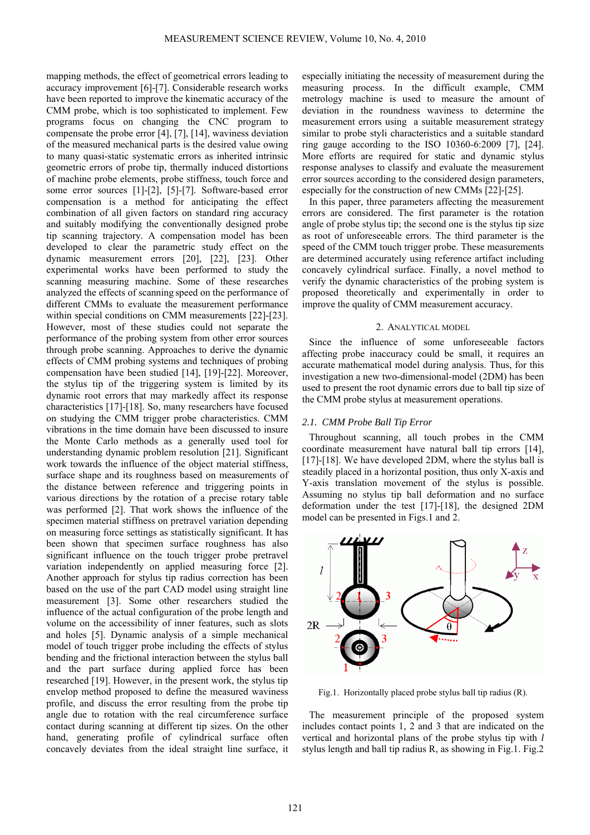mapping methods, the effect of geometrical errors leading to accuracy improvement [6]-[7]. Considerable research works have been reported to improve the kinematic accuracy of the CMM probe, which is too sophisticated to implement. Few programs focus on changing the CNC program to compensate the probe error [4], [7], [14], waviness deviation of the measured mechanical parts is the desired value owing to many quasi-static systematic errors as inherited intrinsic geometric errors of probe tip, thermally induced distortions of machine probe elements, probe stiffness, touch force and some error sources [1]-[2], [5]-[7]. Software-based error compensation is a method for anticipating the effect combination of all given factors on standard ring accuracy and suitably modifying the conventionally designed probe tip scanning trajectory. A compensation model has been developed to clear the parametric study effect on the dynamic measurement errors [20], [22], [23]. Other experimental works have been performed to study the scanning measuring machine. Some of these researches analyzed the effects of scanning speed on the performance of different CMMs to evaluate the measurement performance within special conditions on CMM measurements [22]-[23]. However, most of these studies could not separate the performance of the probing system from other error sources through probe scanning. Approaches to derive the dynamic effects of CMM probing systems and techniques of probing compensation have been studied [14], [19]-[22]. Moreover, the stylus tip of the triggering system is limited by its dynamic root errors that may markedly affect its response characteristics [17]-[18]. So, many researchers have focused on studying the CMM trigger probe characteristics. CMM vibrations in the time domain have been discussed to insure the Monte Carlo methods as a generally used tool for understanding dynamic problem resolution [21]. Significant work towards the influence of the object material stiffness, surface shape and its roughness based on measurements of the distance between reference and triggering points in various directions by the rotation of a precise rotary table was performed [2]. That work shows the influence of the specimen material stiffness on pretravel variation depending on measuring force settings as statistically significant. It has been shown that specimen surface roughness has also significant influence on the touch trigger probe pretravel variation independently on applied measuring force [2]. Another approach for stylus tip radius correction has been based on the use of the part CAD model using straight line measurement [3]. Some other researchers studied the influence of the actual configuration of the probe length and volume on the accessibility of inner features, such as slots and holes [5]. Dynamic analysis of a simple mechanical model of touch trigger probe including the effects of stylus bending and the frictional interaction between the stylus ball and the part surface during applied force has been researched [19]. However, in the present work, the stylus tip envelop method proposed to define the measured waviness profile, and discuss the error resulting from the probe tip angle due to rotation with the real circumference surface contact during scanning at different tip sizes. On the other hand, generating profile of cylindrical surface often concavely deviates from the ideal straight line surface, it

especially initiating the necessity of measurement during the measuring process. In the difficult example, CMM metrology machine is used to measure the amount of deviation in the roundness waviness to determine the measurement errors using a suitable measurement strategy similar to probe styli characteristics and a suitable standard ring gauge according to the ISO 10360-6:2009 [7], [24]. More efforts are required for static and dynamic stylus response analyses to classify and evaluate the measurement error sources according to the considered design parameters, especially for the construction of new CMMs [22]-[25].

In this paper, three parameters affecting the measurement errors are considered. The first parameter is the rotation angle of probe stylus tip; the second one is the stylus tip size as root of unforeseeable errors. The third parameter is the speed of the CMM touch trigger probe. These measurements are determined accurately using reference artifact including concavely cylindrical surface. Finally, a novel method to verify the dynamic characteristics of the probing system is proposed theoretically and experimentally in order to improve the quality of CMM measurement accuracy.

## 2. ANALYTICAL MODEL

Since the influence of some unforeseeable factors affecting probe inaccuracy could be small, it requires an accurate mathematical model during analysis. Thus, for this investigation a new two-dimensional-model (2DM) has been used to present the root dynamic errors due to ball tip size of the CMM probe stylus at measurement operations.

#### *2.1. CMM Probe Ball Tip Error*

Throughout scanning, all touch probes in the CMM coordinate measurement have natural ball tip errors [14], [17]-[18]. We have developed 2DM, where the stylus ball is steadily placed in a horizontal position, thus only X-axis and Y-axis translation movement of the stylus is possible. Assuming no stylus tip ball deformation and no surface deformation under the test [17]-[18], the designed 2DM model can be presented in Figs.1 and 2.



Fig.1. Horizontally placed probe stylus ball tip radius (R).

The measurement principle of the proposed system includes contact points 1, 2 and 3 that are indicated on the vertical and horizontal plans of the probe stylus tip with *l* stylus length and ball tip radius R, as showing in Fig.1. Fig.2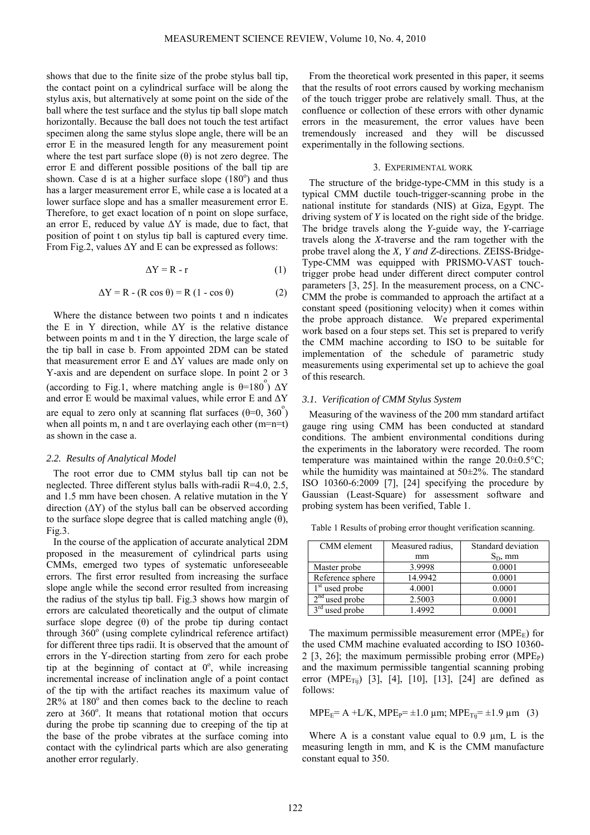shows that due to the finite size of the probe stylus ball tip, the contact point on a cylindrical surface will be along the stylus axis, but alternatively at some point on the side of the ball where the test surface and the stylus tip ball slope match horizontally. Because the ball does not touch the test artifact specimen along the same stylus slope angle, there will be an error E in the measured length for any measurement point where the test part surface slope  $(\theta)$  is not zero degree. The error E and different possible positions of the ball tip are shown. Case d is at a higher surface slope  $(180^{\circ})$  and thus has a larger measurement error E, while case a is located at a lower surface slope and has a smaller measurement error E. Therefore, to get exact location of n point on slope surface, an error E, reduced by value  $\Delta Y$  is made, due to fact, that position of point t on stylus tip ball is captured every time. From Fig.2, values  $\Delta Y$  and E can be expressed as follows:

$$
\Delta Y = R - r \tag{1}
$$

$$
\Delta Y = R - (R \cos \theta) = R (1 - \cos \theta)
$$
 (2)

Where the distance between two points t and n indicates the E in Y direction, while  $\Delta Y$  is the relative distance between points m and t in the Y direction, the large scale of the tip ball in case b. From appointed 2DM can be stated that measurement error E and  $\Delta Y$  values are made only on Y-axis and are dependent on surface slope. In point 2 or 3 (according to Fig.1, where matching angle is  $\theta$ =180<sup>o</sup>)  $\Delta$ Y and error E would be maximal values, while error E and  $\Delta Y$ are equal to zero only at scanning flat surfaces  $(\theta=0, 360^{\circ})$ when all points m, n and t are overlaying each other (m=n=t) as shown in the case a.

#### *2.2. Results of Analytical Model*

The root error due to CMM stylus ball tip can not be neglected. Three different stylus balls with-radii R=4.0, 2.5, and 1.5 mm have been chosen. A relative mutation in the Y direction  $(\Delta Y)$  of the stylus ball can be observed according to the surface slope degree that is called matching angle  $(\theta)$ , Fig.3.

In the course of the application of accurate analytical 2DM proposed in the measurement of cylindrical parts using CMMs, emerged two types of systematic unforeseeable errors. The first error resulted from increasing the surface slope angle while the second error resulted from increasing the radius of the stylus tip ball. Fig.3 shows how margin of errors are calculated theoretically and the output of climate surface slope degree  $(\theta)$  of the probe tip during contact through  $360^\circ$  (using complete cylindrical reference artifact) for different three tips radii. It is observed that the amount of errors in the Y-direction starting from zero for each probe tip at the beginning of contact at  $0^\circ$ , while increasing incremental increase of inclination angle of a point contact of the tip with the artifact reaches its maximum value of  $2R\%$  at  $180^\circ$  and then comes back to the decline to reach zero at 360°. It means that rotational motion that occurs during the probe tip scanning due to creeping of the tip at the base of the probe vibrates at the surface coming into contact with the cylindrical parts which are also generating another error regularly.

From the theoretical work presented in this paper, it seems that the results of root errors caused by working mechanism of the touch trigger probe are relatively small. Thus, at the confluence or collection of these errors with other dynamic errors in the measurement, the error values have been tremendously increased and they will be discussed experimentally in the following sections.

## 3. EXPERIMENTAL WORK

The structure of the bridge-type-CMM in this study is a typical CMM ductile touch-trigger-scanning probe in the national institute for standards (NIS) at Giza, Egypt. The driving system of *Y* is located on the right side of the bridge. The bridge travels along the *Y*-guide way, the *Y*-carriage travels along the *X*-traverse and the ram together with the probe travel along the *X, Y and Z-*directions. ZEISS-Bridge-Type-CMM was equipped with PRISMO-VAST touchtrigger probe head under different direct computer control parameters [3, 25]. In the measurement process, on a CNC-CMM the probe is commanded to approach the artifact at a constant speed (positioning velocity) when it comes within the probe approach distance. We prepared experimental work based on a four steps set. This set is prepared to verify the CMM machine according to ISO to be suitable for implementation of the schedule of parametric study measurements using experimental set up to achieve the goal of this research.

# *3.1. Verification of CMM Stylus System*

Measuring of the waviness of the 200 mm standard artifact gauge ring using CMM has been conducted at standard conditions. The ambient environmental conditions during the experiments in the laboratory were recorded. The room temperature was maintained within the range 20.0±0.5°C; while the humidity was maintained at 50±2%. The standard ISO 10360-6:2009 [7], [24] specifying the procedure by Gaussian (Least-Square) for assessment software and probing system has been verified, Table 1.

Table 1 Results of probing error thought verification scanning.

| CMM element                | Measured radius. | Standard deviation |
|----------------------------|------------------|--------------------|
|                            | mm               | $S_D$ , mm         |
| Master probe               | 3.9998           | 0.0001             |
| Reference sphere           | 14.9942          | 0.0001             |
| 1 <sup>st</sup> used probe | 4.0001           | 0.0001             |
| $2nd$ used probe           | 2.5003           | 0.0001             |
| used probe                 | 1.4992           | 0.0001             |

The maximum permissible measurement error ( $MPE<sub>E</sub>$ ) for the used CMM machine evaluated according to ISO 10360- 2 [3, 26]; the maximum permissible probing error (MPE<sub>P</sub>) and the maximum permissible tangential scanning probing error (MPE<sub>Tij</sub>) [3], [4], [10], [13], [24] are defined as follows:

$$
MPE_E = A + L/K, MPE_P = \pm 1.0 \, \mu m; MPE_{Tij} = \pm 1.9 \, \mu m \quad (3)
$$

Where A is a constant value equal to  $0.9 \mu m$ , L is the measuring length in mm, and K is the CMM manufacture constant equal to 350.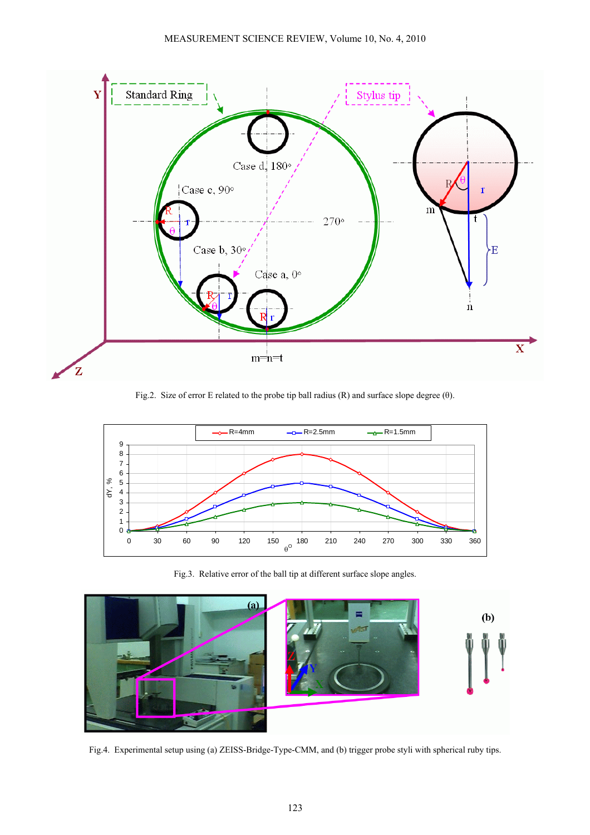

Fig.2. Size of error E related to the probe tip ball radius (R) and surface slope degree (θ).



Fig.3. Relative error of the ball tip at different surface slope angles.



Fig.4. Experimental setup using (a) ZEISS-Bridge-Type-CMM, and (b) trigger probe styli with spherical ruby tips.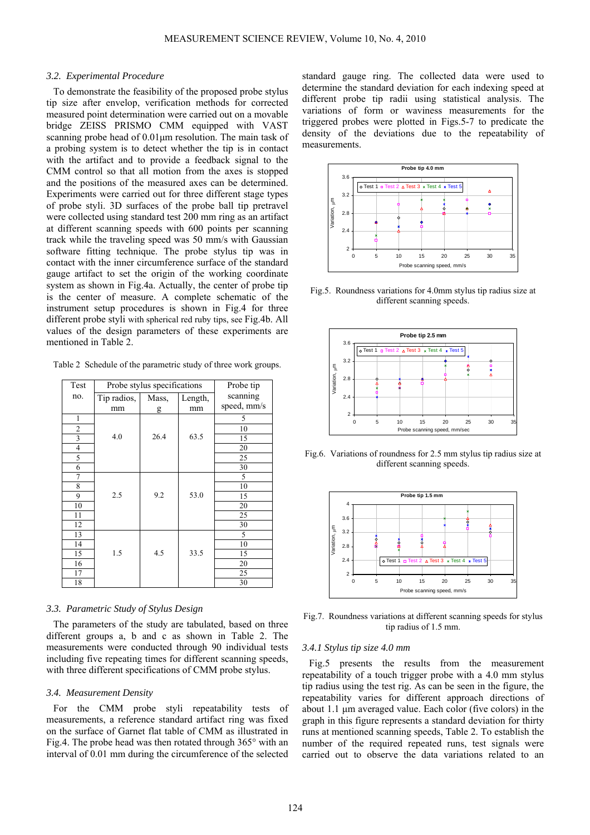#### *3.2. Experimental Procedure*

To demonstrate the feasibility of the proposed probe stylus tip size after envelop, verification methods for corrected measured point determination were carried out on a movable bridge ZEISS PRISMO CMM equipped with VAST scanning probe head of 0.01μm resolution. The main task of a probing system is to detect whether the tip is in contact with the artifact and to provide a feedback signal to the CMM control so that all motion from the axes is stopped and the positions of the measured axes can be determined. Experiments were carried out for three different stage types of probe styli. 3D surfaces of the probe ball tip pretravel were collected using standard test 200 mm ring as an artifact at different scanning speeds with 600 points per scanning track while the traveling speed was 50 mm/s with Gaussian software fitting technique. The probe stylus tip was in contact with the inner circumference surface of the standard gauge artifact to set the origin of the working coordinate system as shown in Fig.4a. Actually, the center of probe tip is the center of measure. A complete schematic of the instrument setup procedures is shown in Fig.4 for three different probe styli with spherical red ruby tips, see Fig.4b. All values of the design parameters of these experiments are mentioned in Table 2.

Table 2 Schedule of the parametric study of three work groups.

| Test | Probe stylus specifications | Probe tip |         |             |
|------|-----------------------------|-----------|---------|-------------|
| no.  | Tip radios,                 | Mass,     | Length, | scanning    |
|      | mm                          | g         | mm      | speed, mm/s |
| 1    |                             |           |         | 5           |
| 2    |                             |           |         | 10          |
| 3    | 4.0                         | 26.4      | 63.5    | 15          |
| 4    |                             |           |         | 20          |
| 5    |                             |           |         | 25          |
| 6    |                             |           |         | 30          |
| 7    |                             |           |         | 5           |
| 8    |                             |           |         | 10          |
| 9    | 2.5                         | 9.2       | 53.0    | 15          |
| 10   |                             |           |         | 20          |
| 11   |                             |           |         | 25          |
| 12   |                             |           |         | 30          |
| 13   |                             |           |         | 5           |
| 14   |                             |           |         | 10          |
| 15   | 1.5                         | 4.5       | 33.5    | 15          |
| 16   |                             |           |         | 20          |
| 17   |                             |           |         | 25          |
| 18   |                             |           |         | 30          |

## *3.3. Parametric Study of Stylus Design*

The parameters of the study are tabulated, based on three different groups a, b and c as shown in Table 2. The measurements were conducted through 90 individual tests including five repeating times for different scanning speeds, with three different specifications of CMM probe stylus.

## *3.4. Measurement Density*

For the CMM probe styli repeatability tests of measurements, a reference standard artifact ring was fixed on the surface of Garnet flat table of CMM as illustrated in Fig.4. The probe head was then rotated through 365° with an interval of 0.01 mm during the circumference of the selected standard gauge ring. The collected data were used to determine the standard deviation for each indexing speed at different probe tip radii using statistical analysis. The variations of form or waviness measurements for the triggered probes were plotted in Figs.5-7 to predicate the density of the deviations due to the repeatability of measurements.



Fig.5. Roundness variations for 4.0mm stylus tip radius size at different scanning speeds.



Fig.6. Variations of roundness for 2.5 mm stylus tip radius size at different scanning speeds.



Fig.7. Roundness variations at different scanning speeds for stylus tip radius of 1.5 mm.

## *3.4.1 Stylus tip size 4.0 mm*

Fig.5 presents the results from the measurement repeatability of a touch trigger probe with a 4.0 mm stylus tip radius using the test rig. As can be seen in the figure, the repeatability varies for different approach directions of about 1.1 μm averaged value. Each color (five colors) in the graph in this figure represents a standard deviation for thirty runs at mentioned scanning speeds, Table 2. To establish the number of the required repeated runs, test signals were carried out to observe the data variations related to an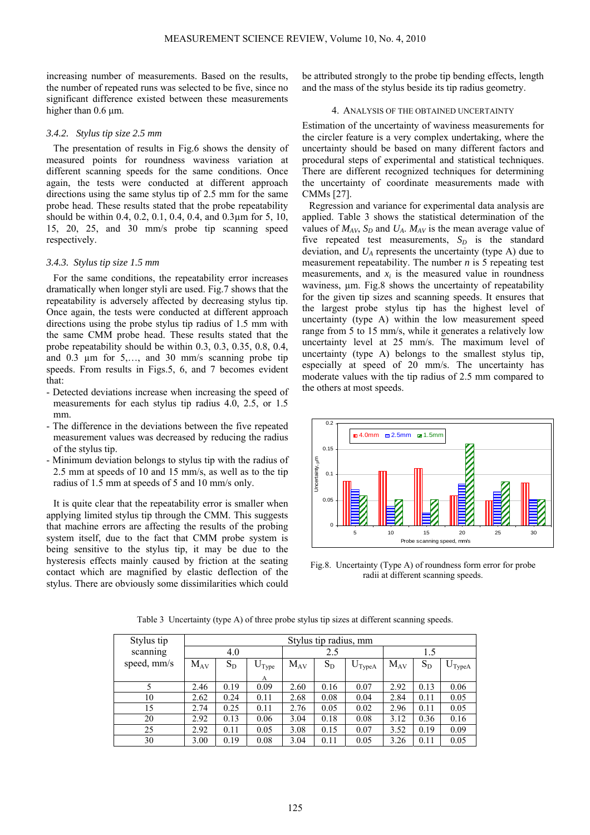increasing number of measurements. Based on the results, the number of repeated runs was selected to be five, since no significant difference existed between these measurements higher than 0.6 μm.

#### *3.4.2. Stylus tip size 2.5 mm*

The presentation of results in Fig.6 shows the density of measured points for roundness waviness variation at different scanning speeds for the same conditions. Once again, the tests were conducted at different approach directions using the same stylus tip of 2.5 mm for the same probe head. These results stated that the probe repeatability should be within 0.4, 0.2, 0.1, 0.4, 0.4, and 0.3µm for 5, 10, 15, 20, 25, and 30 mm/s probe tip scanning speed respectively.

#### *3.4.3. Stylus tip size 1.5 mm*

For the same conditions, the repeatability error increases dramatically when longer styli are used. Fig.7 shows that the repeatability is adversely affected by decreasing stylus tip. Once again, the tests were conducted at different approach directions using the probe stylus tip radius of 1.5 mm with the same CMM probe head. These results stated that the probe repeatability should be within 0.3, 0.3, 0.35, 0.8, 0.4, and 0.3 µm for 5,…, and 30 mm/s scanning probe tip speeds. From results in Figs.5, 6, and 7 becomes evident that:

- Detected deviations increase when increasing the speed of measurements for each stylus tip radius 4.0, 2.5, or 1.5 mm.
- The difference in the deviations between the five repeated measurement values was decreased by reducing the radius of the stylus tip.
- Minimum deviation belongs to stylus tip with the radius of 2.5 mm at speeds of 10 and 15 mm/s, as well as to the tip radius of 1.5 mm at speeds of 5 and 10 mm/s only.

It is quite clear that the repeatability error is smaller when applying limited stylus tip through the CMM. This suggests that machine errors are affecting the results of the probing system itself, due to the fact that CMM probe system is being sensitive to the stylus tip, it may be due to the hysteresis effects mainly caused by friction at the seating contact which are magnified by elastic deflection of the stylus. There are obviously some dissimilarities which could

be attributed strongly to the probe tip bending effects, length and the mass of the stylus beside its tip radius geometry.

#### 4. ANALYSIS OF THE OBTAINED UNCERTAINTY

Estimation of the uncertainty of waviness measurements for the circler feature is a very complex undertaking, where the uncertainty should be based on many different factors and procedural steps of experimental and statistical techniques. There are different recognized techniques for determining the uncertainty of coordinate measurements made with CMMs [27].

Regression and variance for experimental data analysis are applied. Table 3 shows the statistical determination of the values of  $M_{AV}$ ,  $S_D$  and  $U_A$ .  $M_{AV}$  is the mean average value of five repeated test measurements,  $S_D$  is the standard deviation, and  $U_A$  represents the uncertainty (type A) due to measurement repeatability. The number *n* is 5 repeating test measurements, and  $x_i$  is the measured value in roundness waviness,  $\mu$ m. Fig.8 shows the uncertainty of repeatability for the given tip sizes and scanning speeds. It ensures that the largest probe stylus tip has the highest level of uncertainty (type A) within the low measurement speed range from 5 to 15 mm/s, while it generates a relatively low uncertainty level at 25 mm/s. The maximum level of uncertainty (type A) belongs to the smallest stylus tip, especially at speed of 20 mm/s. The uncertainty has moderate values with the tip radius of 2.5 mm compared to the others at most speeds.



Fig.8. Uncertainty (Type A) of roundness form error for probe radii at different scanning speeds.

| Stylus tip  | Stylus tip radius, mm |       |            |          |       |                    |          |       |                    |
|-------------|-----------------------|-------|------------|----------|-------|--------------------|----------|-------|--------------------|
| scanning    | 4.0                   |       |            | 2.5      |       |                    | 1.5      |       |                    |
| speed, mm/s | $M_{AV}$              | $S_D$ | $U_{Type}$ | $M_{AV}$ | $S_D$ | U <sub>TypeA</sub> | $M_{AV}$ | $S_D$ | U <sub>TypeA</sub> |
|             |                       |       | А          |          |       |                    |          |       |                    |
|             | 2.46                  | 0.19  | 0.09       | 2.60     | 0.16  | 0.07               | 2.92     | 0.13  | 0.06               |
| 10          | 2.62                  | 0.24  | 0.11       | 2.68     | 0.08  | 0.04               | 2.84     | 0.11  | 0.05               |
| 15          | 2.74                  | 0.25  | 0.11       | 2.76     | 0.05  | 0.02               | 2.96     | 0.11  | 0.05               |
| 20          | 2.92                  | 0.13  | 0.06       | 3.04     | 0.18  | 0.08               | 3.12     | 0.36  | 0.16               |
| 25          | 2.92                  | 0.11  | 0.05       | 3.08     | 0.15  | 0.07               | 3.52     | 0.19  | 0.09               |
| 30          | 3.00                  | 0.19  | 0.08       | 3.04     | 0.11  | 0.05               | 3.26     | 0.11  | 0.05               |

Table 3 Uncertainty (type A) of three probe stylus tip sizes at different scanning speeds.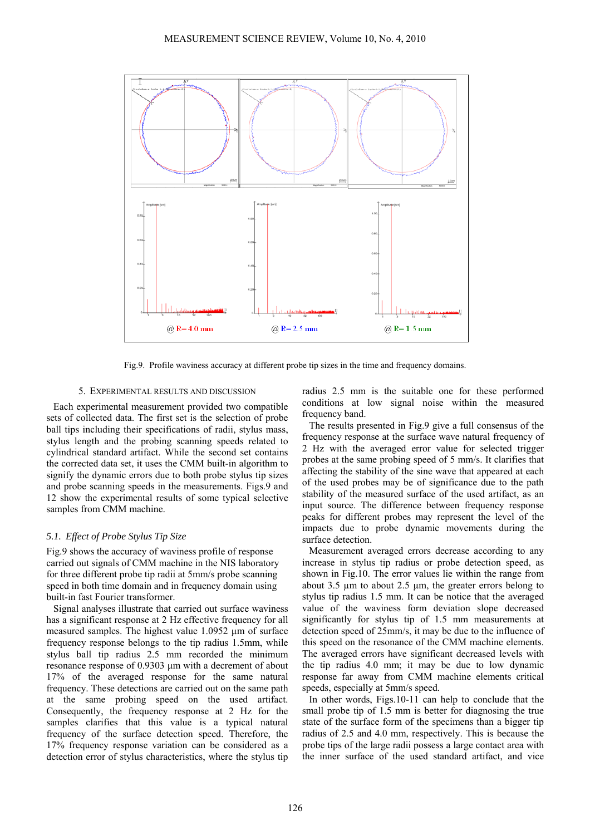

Fig.9. Profile waviness accuracy at different probe tip sizes in the time and frequency domains.

## 5. EXPERIMENTAL RESULTS AND DISCUSSION

Each experimental measurement provided two compatible sets of collected data. The first set is the selection of probe ball tips including their specifications of radii, stylus mass, stylus length and the probing scanning speeds related to cylindrical standard artifact. While the second set contains the corrected data set, it uses the CMM built-in algorithm to signify the dynamic errors due to both probe stylus tip sizes and probe scanning speeds in the measurements. Figs.9 and 12 show the experimental results of some typical selective samples from CMM machine.

# *5.1. Effect of Probe Stylus Tip Size*

Fig.9 shows the accuracy of waviness profile of response carried out signals of CMM machine in the NIS laboratory for three different probe tip radii at 5mm/s probe scanning speed in both time domain and in frequency domain using built-in fast Fourier transformer.

Signal analyses illustrate that carried out surface waviness has a significant response at 2 Hz effective frequency for all measured samples. The highest value 1.0952 µm of surface frequency response belongs to the tip radius 1.5mm, while stylus ball tip radius 2.5 mm recorded the minimum resonance response of 0.9303 μm with a decrement of about 17% of the averaged response for the same natural frequency. These detections are carried out on the same path at the same probing speed on the used artifact. Consequently, the frequency response at 2 Hz for the samples clarifies that this value is a typical natural frequency of the surface detection speed. Therefore, the 17% frequency response variation can be considered as a detection error of stylus characteristics, where the stylus tip

radius 2.5 mm is the suitable one for these performed conditions at low signal noise within the measured frequency band.

The results presented in Fig.9 give a full consensus of the frequency response at the surface wave natural frequency of 2 Hz with the averaged error value for selected trigger probes at the same probing speed of 5 mm/s. It clarifies that affecting the stability of the sine wave that appeared at each of the used probes may be of significance due to the path stability of the measured surface of the used artifact, as an input source. The difference between frequency response peaks for different probes may represent the level of the impacts due to probe dynamic movements during the surface detection.

Measurement averaged errors decrease according to any increase in stylus tip radius or probe detection speed, as shown in Fig.10. The error values lie within the range from about 3.5 µm to about 2.5 µm, the greater errors belong to stylus tip radius 1.5 mm. It can be notice that the averaged value of the waviness form deviation slope decreased significantly for stylus tip of 1.5 mm measurements at detection speed of 25mm/s, it may be due to the influence of this speed on the resonance of the CMM machine elements. The averaged errors have significant decreased levels with the tip radius 4.0 mm; it may be due to low dynamic response far away from CMM machine elements critical speeds, especially at 5mm/s speed.

In other words, Figs.10-11 can help to conclude that the small probe tip of 1.5 mm is better for diagnosing the true state of the surface form of the specimens than a bigger tip radius of 2.5 and 4.0 mm, respectively. This is because the probe tips of the large radii possess a large contact area with the inner surface of the used standard artifact, and vice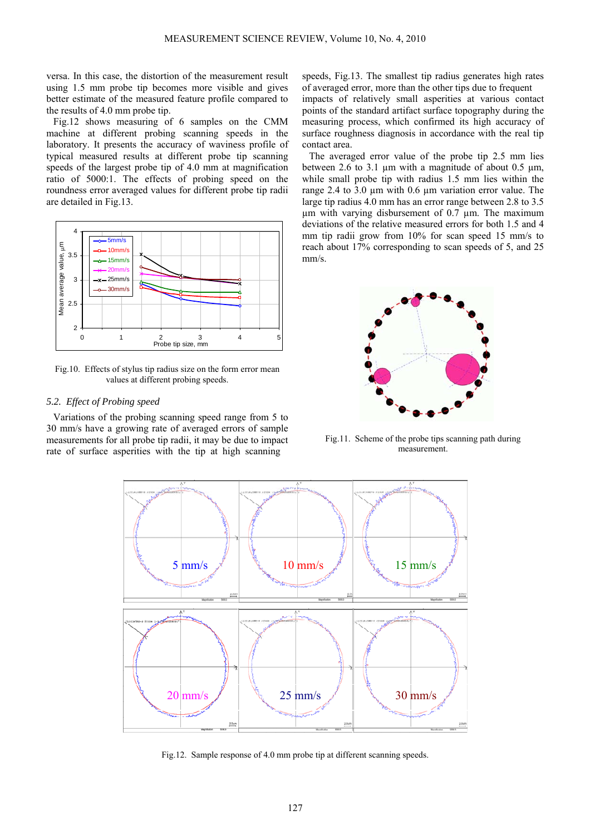versa. In this case, the distortion of the measurement result using 1.5 mm probe tip becomes more visible and gives better estimate of the measured feature profile compared to the results of 4.0 mm probe tip.

Fig.12 shows measuring of 6 samples on the CMM machine at different probing scanning speeds in the laboratory. It presents the accuracy of waviness profile of typical measured results at different probe tip scanning speeds of the largest probe tip of 4.0 mm at magnification ratio of 5000:1. The effects of probing speed on the roundness error averaged values for different probe tip radii are detailed in Fig.13.



Fig.10. Effects of stylus tip radius size on the form error mean values at different probing speeds.

## *5.2. Effect of Probing speed*

Variations of the probing scanning speed range from 5 to 30 mm/s have a growing rate of averaged errors of sample measurements for all probe tip radii, it may be due to impact rate of surface asperities with the tip at high scanning

speeds, Fig.13. The smallest tip radius generates high rates of averaged error, more than the other tips due to frequent impacts of relatively small asperities at various contact points of the standard artifact surface topography during the measuring process, which confirmed its high accuracy of surface roughness diagnosis in accordance with the real tip contact area.

The averaged error value of the probe tip 2.5 mm lies between 2.6 to 3.1  $\mu$ m with a magnitude of about 0.5  $\mu$ m, while small probe tip with radius 1.5 mm lies within the range 2.4 to 3.0 µm with 0.6 µm variation error value. The large tip radius 4.0 mm has an error range between 2.8 to 3.5  $\mu$ m with varying disbursement of 0.7  $\mu$ m. The maximum deviations of the relative measured errors for both 1.5 and 4 mm tip radii grow from 10% for scan speed 15 mm/s to reach about 17% corresponding to scan speeds of 5, and 25 mm/s.



Fig.11. Scheme of the probe tips scanning path during measurement.



Fig.12. Sample response of 4.0 mm probe tip at different scanning speeds.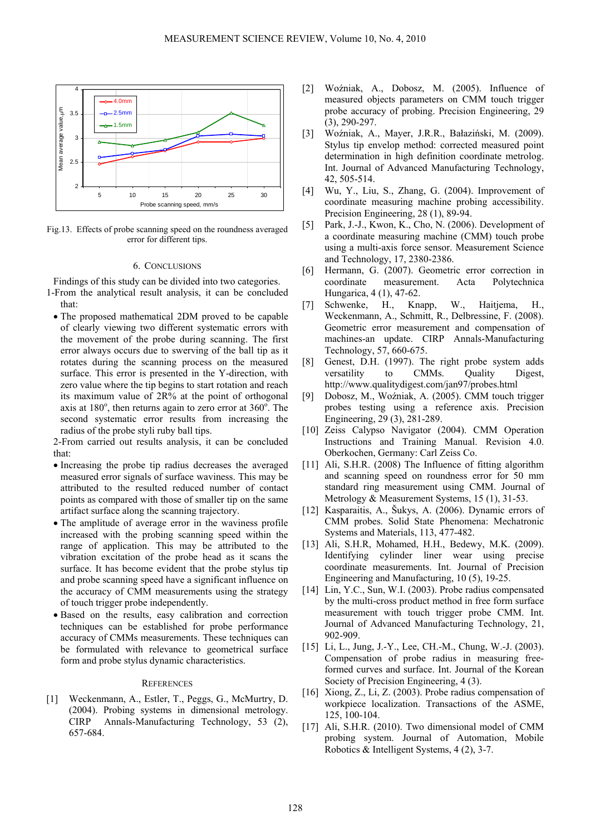

Fig.13. Effects of probe scanning speed on the roundness averaged error for different tips.

#### 6. CONCLUSIONS

Findings of this study can be divided into two categories.

- 1-From the analytical result analysis, it can be concluded that:
- The proposed mathematical 2DM proved to be capable of clearly viewing two different systematic errors with the movement of the probe during scanning. The first error always occurs due to swerving of the ball tip as it rotates during the scanning process on the measured surface. This error is presented in the Y-direction, with zero value where the tip begins to start rotation and reach its maximum value of 2R% at the point of orthogonal axis at  $180^\circ$ , then returns again to zero error at  $360^\circ$ . The second systematic error results from increasing the radius of the probe styli ruby ball tips.

2-From carried out results analysis, it can be concluded that:

- Increasing the probe tip radius decreases the averaged measured error signals of surface waviness. This may be attributed to the resulted reduced number of contact points as compared with those of smaller tip on the same artifact surface along the scanning trajectory.
- The amplitude of average error in the waviness profile increased with the probing scanning speed within the range of application. This may be attributed to the vibration excitation of the probe head as it scans the surface. It has become evident that the probe stylus tip and probe scanning speed have a significant influence on the accuracy of CMM measurements using the strategy of touch trigger probe independently.
- Based on the results, easy calibration and correction techniques can be established for probe performance accuracy of CMMs measurements. These techniques can be formulated with relevance to geometrical surface form and probe stylus dynamic characteristics.

#### **REFERENCES**

[1] Weckenmann, A., Estler, T., Peggs, G., McMurtry, D. (2004). Probing systems in dimensional metrology. CIRP Annals-Manufacturing Technology, 53 (2), 657-684.

- [2] Woźniak, A., Dobosz, M. (2005). Influence of measured objects parameters on CMM touch trigger probe accuracy of probing. Precision Engineering, 29 (3), 290-297.
- [3] Woźniak, A., Mayer, J.R.R., Bałaziński, M. (2009). Stylus tip envelop method: corrected measured point determination in high definition coordinate metrolog. Int. Journal of Advanced Manufacturing Technology, 42, 505-514.
- [4] Wu, Y., Liu, S., Zhang, G. (2004). Improvement of coordinate measuring machine probing accessibility. Precision Engineering, 28 (1), 89-94.
- [5] Park, J.-J., Kwon, K., Cho, N. (2006). Development of a coordinate measuring machine (CMM) touch probe using a multi-axis force sensor. Measurement Science and Technology, 17, 2380-2386.
- [6] Hermann, G. (2007). Geometric error correction in coordinate measurement. Acta Polytechnica Hungarica, 4 (1), 47-62.
- [7] Schwenke, H., Knapp, W., Haitjema, H., Weckenmann, A., Schmitt, R., Delbressine, F. (2008). Geometric error measurement and compensation of machines-an update. CIRP Annals-Manufacturing Technology, 57, 660-675.
- [8] Genest, D.H. (1997). The right probe system adds versatility to CMMs. Quality Digest, http://www.qualitydigest.com/jan97/probes.html
- [9] Dobosz, M., Woźniak, A. (2005). CMM touch trigger probes testing using a reference axis. Precision Engineering, 29 (3), 281-289.
- [10] Zeiss Calypso Navigator (2004). CMM Operation Instructions and Training Manual. Revision 4.0. Oberkochen, Germany: Carl Zeiss Co.
- [11] Ali, S.H.R. (2008) The Influence of fitting algorithm and scanning speed on roundness error for 50 mm standard ring measurement using CMM. Journal of Metrology & Measurement Systems, 15 (1), 31-53.
- [12] Kasparaitis, A., Šukys, A. (2006). Dynamic errors of CMM probes. Solid State Phenomena: Mechatronic Systems and Materials, 113, 477-482.
- [13] Ali, S.H.R, Mohamed, H.H., Bedewy, M.K. (2009). Identifying cylinder liner wear using precise coordinate measurements. Int. Journal of Precision Engineering and Manufacturing, 10 (5), 19-25.
- [14] Lin, Y.C., Sun, W.I. (2003). Probe radius compensated by the multi-cross product method in free form surface measurement with touch trigger probe CMM. Int. Journal of Advanced Manufacturing Technology, 21, 902-909.
- [15] Li, L., Jung, J.-Y., Lee, CH.-M., Chung, W.-J. (2003). Compensation of probe radius in measuring freeformed curves and surface. Int. Journal of the Korean Society of Precision Engineering, 4 (3).
- [16] Xiong, Z., Li, Z. (2003). Probe radius compensation of workpiece localization. Transactions of the ASME, 125, 100-104.
- [17] Ali, S.H.R. (2010). Two dimensional model of CMM probing system. Journal of Automation, Mobile Robotics & Intelligent Systems, 4 (2), 3-7.